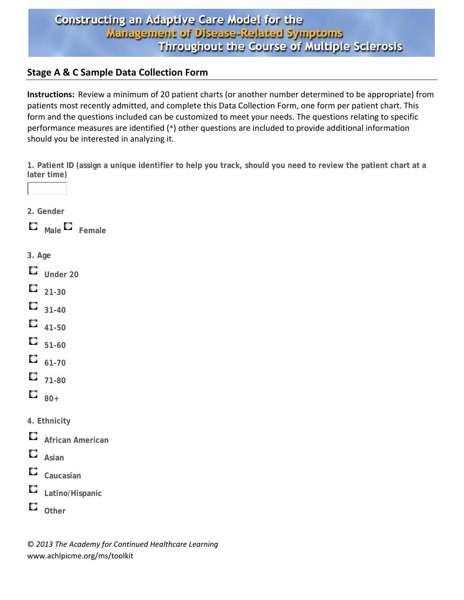#### **Stage A & C Sample Data Collection Form**

**Instructions:** Review a minimum of 20 patient charts (or another number determined to be appropriate) from patients most recently admitted, and complete this Data Collection Form, one form per patient chart. This form and the questions included can be customized to meet your needs. The questions relating to specific performance measures are identified (**\***) other questions are included to provide additional information should you be interested in analyzing it.

**1. Patient ID (assign a unique identifier to help you track, should you need to review the patient chart at a later time)** 



**Male Female**

- **3. Age**
- O. **Under 20**
- О **21-30**
- О **31-40**
- О **41-50**
- 0 **51-60**
- О **61-70**
- о **71-80**
- O. **80+**
- **4. Ethnicity**
- O **African American**
- О **Asian**
- О **Caucasian**
- O **Latino/Hispanic**
- О **Other**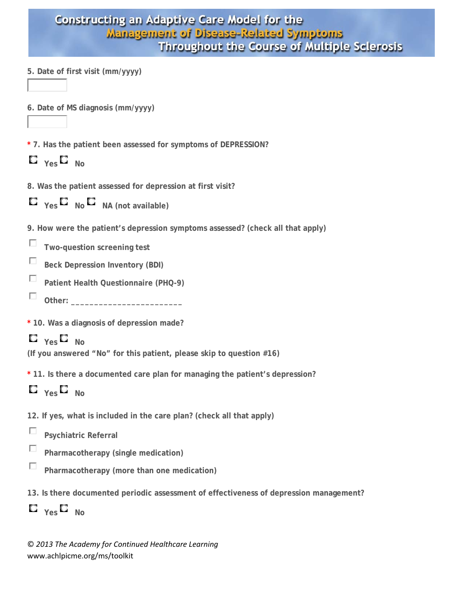| <b>Constructing an Adaptive Care Model for the</b> |
|----------------------------------------------------|
| Management of Disease-Related Symptoms             |
| Throughout the Course of Multiple Sclerosis        |

- **5. Date of first visit (mm/yyyy)**
- **6. Date of MS diagnosis (mm/yyyy)**
- **\* 7. Has the patient been assessed for symptoms of DEPRESSION?**
- $\mathbf{C}$   $_{\text{Yes}}$   $\mathbf{C}$   $_{\text{No}}$
- **8. Was the patient assessed for depression at first visit?**
- $\blacksquare$  Yes  $\blacksquare$  No  $\blacksquare$  NA (not available)
- **9. How were the patient's depression symptoms assessed? (check all that apply)**
- П **Two-question screening test**
- П **Beck Depression Inventory (BDI)**
- П **Patient Health Questionnaire (PHQ-9)**
- П Other:

**\* 10. Was a diagnosis of depression made?** 

 $\Box$   $_{\text{Yes}}$   $\Box$   $_{\text{No}}$ 

**(If you answered "No" for this patient, please skip to question #16)** 

**\* 11. Is there a documented care plan for managing the patient's depression?** 

 $\mathbf{C}$   $_{\text{Yes}}$   $\mathbf{C}$   $_{\text{No}}$ 

- **12. If yes, what is included in the care plan? (check all that apply)**
- П. **Psychiatric Referral**
- П **Pharmacotherapy (single medication)**
- П **Pharmacotherapy (more than one medication)**
- **13. Is there documented periodic assessment of effectiveness of depression management?**

```
\Box _{\text{Yes}} \Box _{\text{No}}
```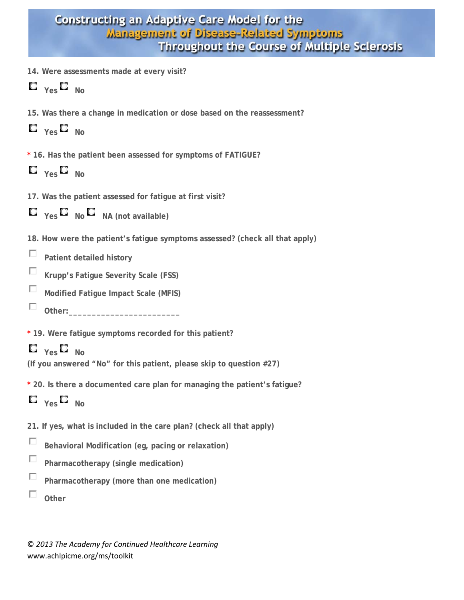- **14. Were assessments made at every visit?**
- $C$ <sub>Yes</sub> $C$ <sub>No</sub>
- **15. Was there a change in medication or dose based on the reassessment?**
- $\Box$   $_{\mathsf{Yes}}$   $\Box$   $_{\mathsf{No}}$
- **\* 16. Has the patient been assessed for symptoms of FATIGUE?**
- $\mathbf{C}$   $_{\text{Yes}}$   $\mathbf{C}$   $_{\text{No}}$
- **17. Was the patient assessed for fatigue at first visit?**



- **18. How were the patient's fatigue symptoms assessed? (check all that apply)**
- П **Patient detailed history**
- П **Krupp's Fatigue Severity Scale (FSS)**
- П **Modified Fatigue Impact Scale (MFIS)**
- П. Other:
- **\* 19. Were fatigue symptoms recorded for this patient?**

```
\Box _{\mathsf{Yes}} \Box _{\mathsf{No}}
```
- **(If you answered "No" for this patient, please skip to question #27)**
- **\* 20. Is there a documented care plan for managing the patient's fatigue?**
- $\Box$   $_{\text{Yes}}$   $\Box$   $_{\text{No}}$
- **21. If yes, what is included in the care plan? (check all that apply)**
- П **Behavioral Modification (eg, pacing or relaxation)**
- П **Pharmacotherapy (single medication)**
- П. **Pharmacotherapy (more than one medication)**
- П. **Other**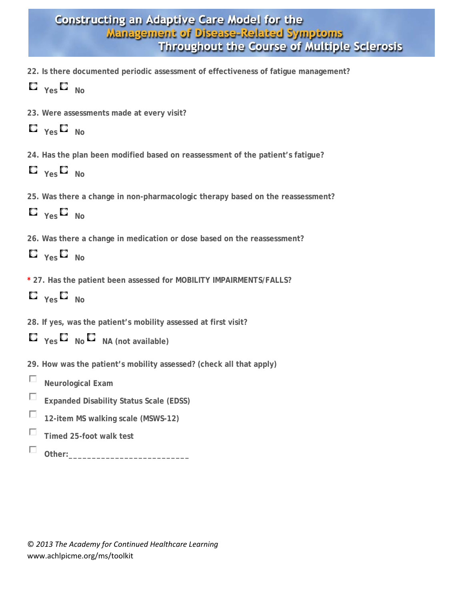- **22. Is there documented periodic assessment of effectiveness of fatigue management?**
- $\mathbf{C}$   $_{\mathsf{Yes}}$   $\mathbf{C}$   $_{\mathsf{No}}$
- **23. Were assessments made at every visit?**
- $\Box$   $_{\mathsf{Yes}}$   $\Box$   $_{\mathsf{No}}$
- **24. Has the plan been modified based on reassessment of the patient's fatigue?**
- $\mathbf{C}$   $_{\text{Yes}}$   $\mathbf{C}$   $_{\text{No}}$
- **25. Was there a change in non-pharmacologic therapy based on the reassessment?**
- $\Box$   $_{\text{Yes}}$   $\Box$   $_{\text{No}}$
- **26. Was there a change in medication or dose based on the reassessment?**
- $\Box$   $_{\text{Yes}}$   $\Box$   $_{\text{No}}$
- **\* 27. Has the patient been assessed for MOBILITY IMPAIRMENTS/FALLS?**
- $\Box$   $_{\vee}$   $\Box$   $_{\vee}$
- **28. If yes, was the patient's mobility assessed at first visit?**

|  |  |  | $\Box$ Yes $\Box$ No $\Box$ NA (not available) |
|--|--|--|------------------------------------------------|
|--|--|--|------------------------------------------------|

- **29. How was the patient's mobility assessed? (check all that apply)**
- П **Neurological Exam**
- П **Expanded Disability Status Scale (EDSS)**
- П **12-item MS walking scale (MSWS-12)**
- П **Timed 25-foot walk test**
- П Other: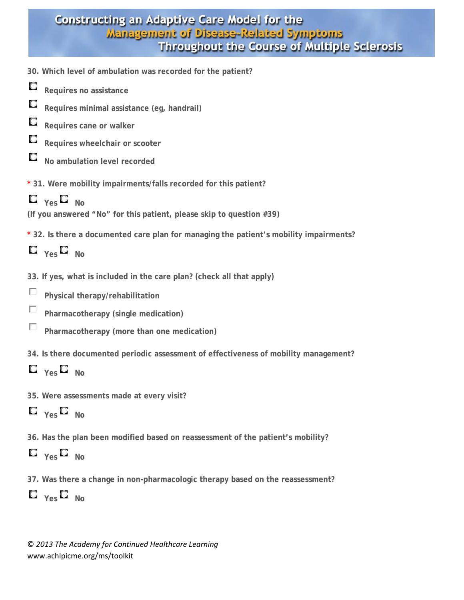- **30. Which level of ambulation was recorded for the patient?**
- O **Requires no assistance**
- О **Requires minimal assistance (eg, handrail)**
- О **Requires cane or walker**
- О **Requires wheelchair or scooter**
- О **No ambulation level recorded**

**\* 31. Were mobility impairments/falls recorded for this patient?** 



**(If you answered "No" for this patient, please skip to question #39)** 

**\* 32. Is there a documented care plan for managing the patient's mobility impairments?** 



- **33. If yes, what is included in the care plan? (check all that apply)**
- П **Physical therapy/rehabilitation**
- П. **Pharmacotherapy (single medication)**
- П **Pharmacotherapy (more than one medication)**
- **34. Is there documented periodic assessment of effectiveness of mobility management?**



**35. Were assessments made at every visit?** 

**Yes No**

**36. Has the plan been modified based on reassessment of the patient's mobility?** 

# $\mathbf{C}$   $_{\mathsf{Yes}}$   $\mathbf{C}$   $_{\mathsf{No}}$

**37. Was there a change in non-pharmacologic therapy based on the reassessment?** 

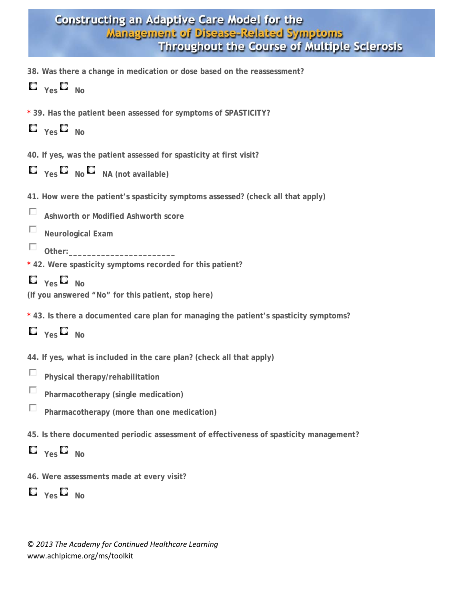|  |  |  | 38. Was there a change in medication or dose based on the reassessment? |
|--|--|--|-------------------------------------------------------------------------|
|  |  |  |                                                                         |

|  | YAS |  | N٥ |
|--|-----|--|----|
|--|-----|--|----|

- **\* 39. Has the patient been assessed for symptoms of SPASTICITY?**
- **Yes No**
- **40. If yes, was the patient assessed for spasticity at first visit?**
- $\Box$   $\gamma$ es  $\Box$  **No**  $\Box$  **NA** (not available)
- **41. How were the patient's spasticity symptoms assessed? (check all that apply)**

П. **Ashworth or Modified Ashworth score**

п. **Neurological Exam** 

П. Other:

\* 42. Were spasticity symptoms recorded for this patient?

 $\mathbf{C}$   $_{\text{Yes}}$   $\mathbf{C}$   $_{\text{No}}$ 

**(If you answered "No" for this patient, stop here)** 

**\* 43. Is there a documented care plan for managing the patient's spasticity symptoms?** 

 $\Box$   $_{\text{Yes}}$   $\Box$   $_{\text{No}}$ 

**44. If yes, what is included in the care plan? (check all that apply)** 

- п. **Physical therapy/rehabilitation**
- П. **Pharmacotherapy (single medication)**
- П **Pharmacotherapy (more than one medication)**
- **45. Is there documented periodic assessment of effectiveness of spasticity management?**
- $\mathbf{C}$   $_{\mathsf{Yes}}$   $\mathbf{C}$   $_{\mathsf{No}}$
- **46. Were assessments made at every visit?**

 $\Box$   $_{\text{Yes}}$   $\Box$   $_{\text{No}}$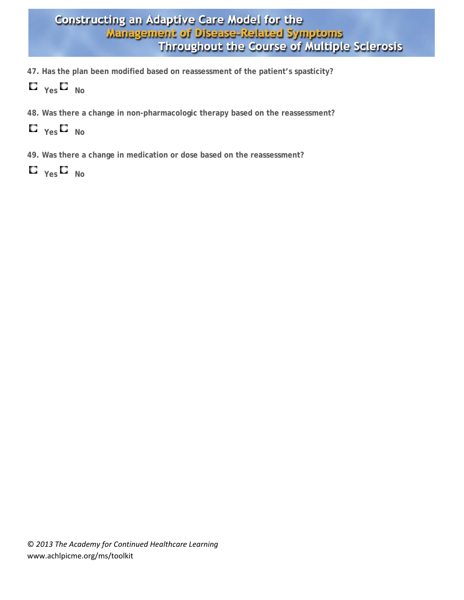- **47. Has the plan been modified based on reassessment of the patient's spasticity?**
- $\Box$   $\gamma$ es $\Box$  No
- **48. Was there a change in non-pharmacologic therapy based on the reassessment?**
- $\Box$   $_{\text{Yes}}$   $\Box$   $_{\text{No}}$
- **49. Was there a change in medication or dose based on the reassessment?**
- $\Box$   $_{\text{Yes}}$   $\Box$   $_{\text{No}}$